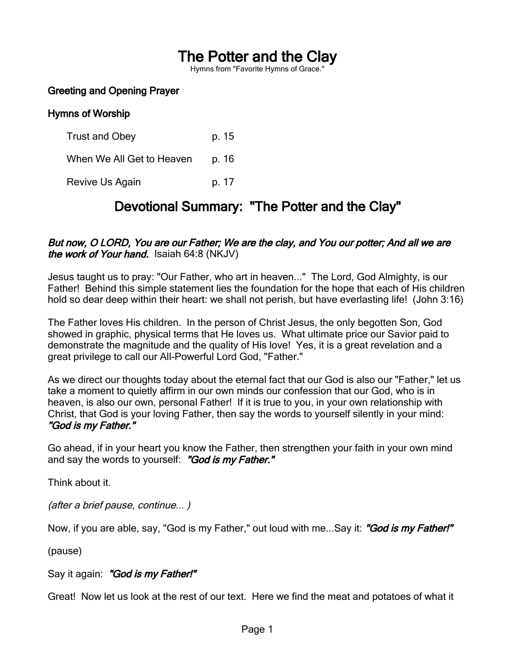# The Potter and the Clay

Hymns from "Favorite Hymns of Grace."

#### Greeting and Opening Prayer

#### Hymns of Worship

Trust and Obey p. 15 When We All Get to Heaven p. 16 Revive Us Again b. 17

## Devotional Summary: "The Potter and the Clay"

#### But now, O LORD, You are our Father; We are the clay, and You our potter; And all we are the work of Your hand. Isaiah 64:8 (NKJV)

Jesus taught us to pray: "Our Father, who art in heaven..." The Lord, God Almighty, is our Father! Behind this simple statement lies the foundation for the hope that each of His children hold so dear deep within their heart: we shall not perish, but have everlasting life! (John 3:16)

The Father loves His children. In the person of Christ Jesus, the only begotten Son, God showed in graphic, physical terms that He loves us. What ultimate price our Savior paid to demonstrate the magnitude and the quality of His love! Yes, it is a great revelation and a great privilege to call our All-Powerful Lord God, "Father."

As we direct our thoughts today about the eternal fact that our God is also our "Father," let us take a moment to quietly affirm in our own minds our confession that our God, who is in heaven, is also our own, personal Father! If it is true to you, in your own relationship with Christ, that God is your loving Father, then say the words to yourself silently in your mind: "God is my Father."

Go ahead, if in your heart you know the Father, then strengthen your faith in your own mind and say the words to yourself: "God is my Father."

Think about it.

(after a brief pause, continue... )

Now, if you are able, say, "God is my Father," out loud with me...Say it: "God is my Father!"

(pause)

#### Say it again: "God is my Father!"

Great! Now let us look at the rest of our text. Here we find the meat and potatoes of what it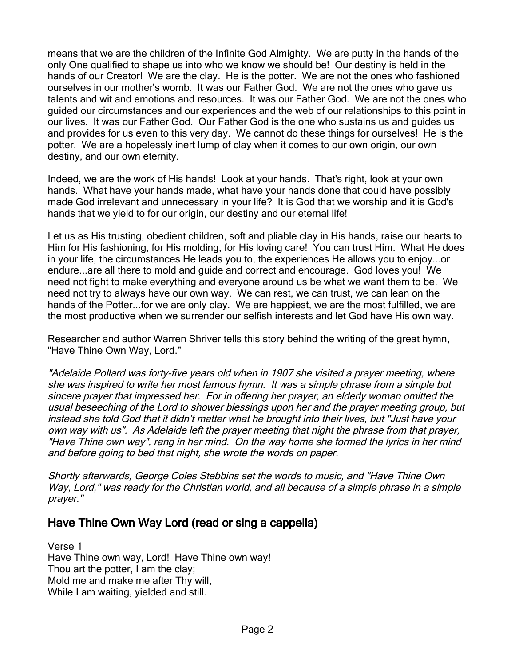means that we are the children of the Infinite God Almighty. We are putty in the hands of the only One qualified to shape us into who we know we should be! Our destiny is held in the hands of our Creator! We are the clay. He is the potter. We are not the ones who fashioned ourselves in our mother's womb. It was our Father God. We are not the ones who gave us talents and wit and emotions and resources. It was our Father God. We are not the ones who guided our circumstances and our experiences and the web of our relationships to this point in our lives. It was our Father God. Our Father God is the one who sustains us and guides us and provides for us even to this very day. We cannot do these things for ourselves! He is the potter. We are a hopelessly inert lump of clay when it comes to our own origin, our own destiny, and our own eternity.

Indeed, we are the work of His hands! Look at your hands. That's right, look at your own hands. What have your hands made, what have your hands done that could have possibly made God irrelevant and unnecessary in your life? It is God that we worship and it is God's hands that we yield to for our origin, our destiny and our eternal life!

Let us as His trusting, obedient children, soft and pliable clay in His hands, raise our hearts to Him for His fashioning, for His molding, for His loving care! You can trust Him. What He does in your life, the circumstances He leads you to, the experiences He allows you to enjoy...or endure...are all there to mold and guide and correct and encourage. God loves you! We need not fight to make everything and everyone around us be what we want them to be. We need not try to always have our own way. We can rest, we can trust, we can lean on the hands of the Potter...for we are only clay. We are happiest, we are the most fulfilled, we are the most productive when we surrender our selfish interests and let God have His own way.

Researcher and author Warren Shriver tells this story behind the writing of the great hymn, "Have Thine Own Way, Lord."

"Adelaide Pollard was forty-five years old when in 1907 she visited a prayer meeting, where she was inspired to write her most famous hymn. It was a simple phrase from a simple but sincere prayer that impressed her. For in offering her prayer, an elderly woman omitted the usual beseeching of the Lord to shower blessings upon her and the prayer meeting group, but instead she told God that it didn't matter what he brought into their lives, but "Just have your own way with us". As Adelaide left the prayer meeting that night the phrase from that prayer, "Have Thine own way", rang in her mind. On the way home she formed the lyrics in her mind and before going to bed that night, she wrote the words on paper.

Shortly afterwards, George Coles Stebbins set the words to music, and "Have Thine Own Way, Lord," was ready for the Christian world, and all because of a simple phrase in a simple prayer."

### Have Thine Own Way Lord (read or sing a cappella)

Verse 1 Have Thine own way, Lord! Have Thine own way! Thou art the potter, I am the clay; Mold me and make me after Thy will, While I am waiting, yielded and still.